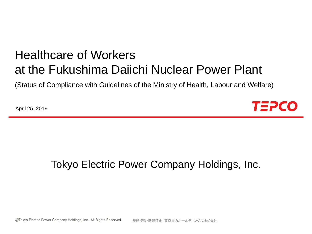# Healthcare of Workers at the Fukushima Daiichi Nuclear Power Plant

(Status of Compliance with Guidelines of the Ministry of Health, Labour and Welfare)

April 25, 2019



### Tokyo Electric Power Company Holdings, Inc.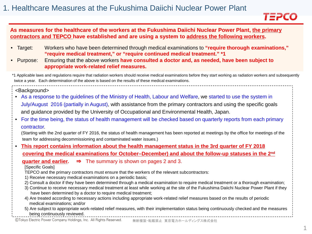

#### **As measures for the healthcare of the workers at the Fukushima Daiichi Nuclear Power Plant, the primary contractors and TEPCO have established and are using a system to address the following workers.**

- Target: Workers who have been determined through medical examinations to **"require thorough examinations," "require medical treatment," or "require continued medical treatment." \*1**
- Purpose: Ensuring that the above workers **have consulted a doctor and, as needed, have been subject to appropriate work-related relief measures.**

\*1 Applicable laws and regulations require that radiation workers should receive medical examinations before they start working as radiation workers and subsequently twice a year. Each determination of the above is based on the results of these medical examinations.

<Background>

- As a response to the guidelines of the Ministry of Health, Labour and Welfare, we started to use the system in July/August 2016 (partially in August), with assistance from the primary contractors and using the specific goals and guidance provided by the University of Occupational and Environmental Health, Japan.
- For the time being, the status of health management will be checked based on quarterly reports from each primary contractor.

(Starting with the 2nd quarter of FY 2016, the status of health management has been reported at meetings by the office for meetings of the team for addressing decommissioning and contaminated water issues.)

• **This report contains information about the health management status in the 3rd quarter of FY 2018 covering the medical examinations for October–December) and about the follow-up statuses in the 2nd**

**quarter and earlier.** ⇒ The summary is shown on pages 2 and 3.

[Specific Goals]

TEPCO and the primary contractors must ensure that the workers of the relevant subcontractors:

- 1) Receive necessary medical examinations on a periodic basis;
- 2) Consult a doctor if they have been determined through a medical examination to require medical treatment or a thorough examination;
- 3) Continue to receive necessary medical treatment at least while working at the site of the Fukushima Daiichi Nuclear Power Plant if they have been determined by a doctor to require medical treatment;
- 4) Are treated according to necessary actions including appropriate work-related relief measures based on the results of periodic medical examinations; and/or

5) Are subject to appropriate work-related relief measures, with their implementation status being continuously checked and the measures being continuously reviewed.

©Tokyo Electric Power Company Holdings, Inc. All Rights Reserved. 無断複製・転載禁止 東京電力ホールディングス株式会社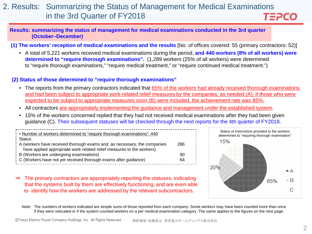#### 2. Results: Summarizing the Status of Management for Medical Examinations in the 3rd Quarter of FY2018 TEPCO

**Results: summarizing the status of management for medical examinations conducted in the 3rd quarter (October–December)**

**(1) The workers' reception of medical examinations and the results** [No. of offices covered: 55 (primary contractors: 52)]

• A total of 5,221 workers received medical examinations during the period, **and 440 workers (8% of all workers) were determined to "require thorough examinations".** (1,289 workers (25% of all workers) were determined to "require thorough examinations," "require medical treatment," or "require continued medical treatment.")

#### **(2) Status of those determined to "require thorough examinations"**

- The reports from the primary contractors indicated that 65% of the workers had already received thorough examinations and had been subject to appropriate work-related relief measures by the companies, as needed (A); if those who were expected to be subject to appropriate measures soon (B) were included, the achievement rate was 85%.
- All contractors are appropriately implementing the guidance and management under the established system.
- 15% of the workers concerned replied that they had not received medical examinations after they had been given guidance (C). Their subsequent statuses will be checked through the next reports for the 4th quarter of FY2018.

| Number of workers determined to "require thorough examinations": 440<br>Status                                     |     |
|--------------------------------------------------------------------------------------------------------------------|-----|
| A (workers have received thorough exams and, as necessary, the companies                                           | 286 |
| have applied appropriate work-related relief measures to the workers)<br>  B (Workers are undergoing examinations) | 90  |
| C (Workers have not yet received thorough exams after guidance)                                                    | 64  |



⇒ The primary contractors are appropriately reporting the statuses, indicating that the systems built by them are effectively functioning, and are even able to identify how the workers are addressed by the relevant subcontractors.

Note: The numbers of workers indicated are simple sums of those reported from each company. Some workers may have been counted more than once if they were relocated or if the system counted workers on a per medical examination category. The same applies to the figures on the next page.